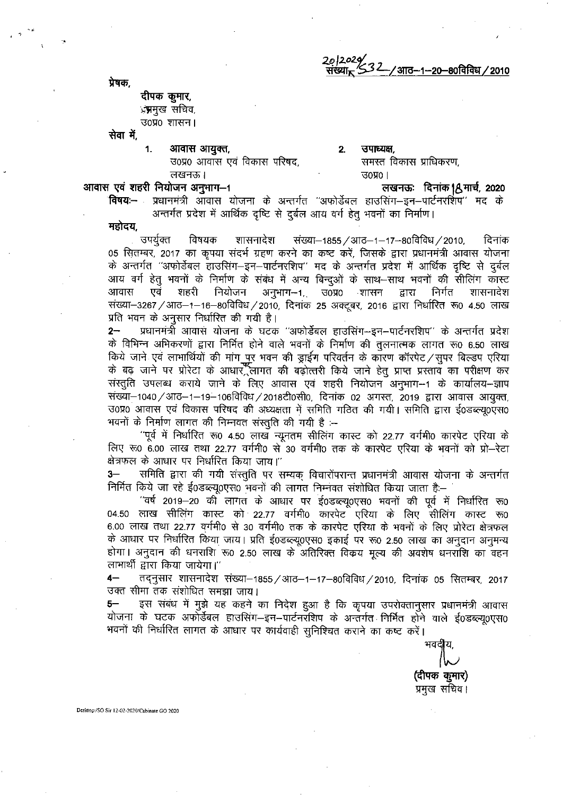2012020 232 -/ आठ–1–20–80विविध / 2010 संख्या<sub>∗</sub>

प्रेषकः

# दीपक कुमार, ्रन्नमुख सचिव, उ०प्र० शासन।

सेवा में,

 $1.$ आवास आयुक्त,

उ०प्र० आवास एवं विकास परिषद, लखनऊ।

### उपाध्यक्ष.  $2<sub>1</sub>$ समस्त विकास प्राधिकरण,  $3040$

# आवास एवं शहरी नियोजन अनुभाग-1

लखनऊः दिनांक | Aुमार्च, 2020

**विषय:--** प्रधानमंत्री आवास योजना के अन्तर्गत ''अफोर्डेबल हाउसिंग-इन-पार्टनरशिप'' मद के अन्तर्गत प्रदेश में आर्थिक दृष्टि से दुर्बल आय वर्ग हेतु भवनों का निर्माण।

महोदय,

शासनादेश उपयुक्त विषयक संख्या−1855 / आठ−1−17−80विविध / 2010, दिनांक 05 सितम्बर, 2017 का कृपया संदर्भ ग्रहण करने का कष्ट करें, जिसके द्वारा प्रधानमंत्री आवास योजना के अन्तर्गत ''अफोर्डेबल हाउसिंग–इन–पार्टनरशिप'' मद के अन्तर्गत प्रदेश में आर्थिक दृष्टि से दुर्बल आय वर्ग हेतु भवनों के निर्माण के संबंध में अन्य बिन्दुओं के साथ–साथ भवनों की सीलिंग कास्ट शहरी अनुभाग–1, उ0प्र0 शासन आवास एवं नियोजन द्वारा निर्गत शासनादेश संख्या–3267 / आठ–1–16–80विविध / 2010, दिनांक 25 अक्टूबर, 2016 द्वारा निर्धारित रू0 4.50 लाख प्रति भवन के अनुसार निर्धारित की गयी है।

प्रधानमंत्री आवास योजना के घटक ''अफोर्डेबल हाउसिंग-इन-पार्टनरशिप'' के अन्तर्गत प्रदेश  $2 -$ के विभिन्न अभिकरणों द्वारा निर्मित होने वाले भवनों के निर्माण की तुलनात्मक लागत रू0 6.50 लाख किये जाने एवं लाभार्थियों की मांग पुर भवन की ड्राईंग परिवर्तन के कारण कॉरपेट ⁄ सुपर बिल्डप एरिया<br>के बढ़ जाने पर प्रोरेटा के आधार ूलागत की बढ़ोत्तरी किये जाने हेतु प्राप्त प्रस्ताव का परीक्षण कर संस्तुति उपलब्ध कराये जाने के लिए आवास एवं शहरी नियोजन अनुभाग–1 के कार्यालय-न्ज्ञाप संख्या–1040 / आठ–1–19–106विविध / 2018टी0सी0, दिनांक 02 अगस्त, 2019 द्वारा आवास आयुक्त, उ0प्र0 आवास एवं विकास परिषद की अध्यक्षता में समिति गठित की गयी। समिति द्वारा ई0डब्ल्यू0एस0 भवनों के निर्माण लागत की निम्नवत संस्तुति की गयी है :--

''पूर्व में निर्धारित रू0 4.50 लाख न्यूनतम सीलिंग कास्ट को 22.77 वर्गमी0 कारपेट एरिया के लिए रू0 6.00 लाख तथा 22.77 वर्गमी0 से 30 वर्गमी0 तक के कारपेट एरिया के भवनों को प्रो–रेटा क्षेत्रफल के आधार पर निर्धारित किया जाय।''

 $3-$ समिति द्वारा की गयी संस्तुति पर सम्यक् विचारोंपरान्त प्रधानमंत्री आवास योजना के अन्तर्गत निर्मित किये जा रहे ई0डब्ल्यू0एस0 भवनों की लागत निम्नवत संशोधित किया जाता है:--

''वर्ष 2019–20 की लागत के आधार पर ई0डब्ल्यू0एस0 भवनों की पूर्व में निर्धारित रू0 04.50 लाख सीलिंग कास्ट को 22.77 वर्गमी0 कारपेट एरिया के लिए सीलिंग कास्ट रू0 6.00 लाख तथा 22.77 वर्गमी0 से 30 वर्गमी0 तक के कारपेट एरिया के भवनों के लिए प्रोरेटा क्षेत्रफल के आधार पर निर्धारित किया जाय। प्रति ई0डब्ल्यू0एस0 इकाई पर रू0 2.50 लाख का अनुदान अनुमन्य होगा। अनुदान की धनराशि रू0 2.50 लाख के अतिरिक्त विकय मूल्य की अवशेष धनराशि का वहन लाभार्थी द्वारा किया जायेगा।''

तद्नुसार शासनादेश संख्या-1855 / आठ-1-17-80विविध / 2010, दिनांक 05 सितम्बर, 2017  $4-$ उक्त सीमा तक संशोधित समझा जाय।

इस संबंध में मुझे यह कहने का निदेश हुआ है कि कृपया उपरोक्तानुसार प्रधानमंत्री आवास योजना के घटक अफोर्डेबल हाउसिंग-इन-पार्टनरशिप के अन्तर्गत निर्मित होने वाले ई0डब्ल्यू0एस0 भवनों की निर्धारित लागत के आधार पर कार्यवाही सुनिश्चित कराने का कष्ट करें।

(दीपक कुमार) प्रमुख सचिव।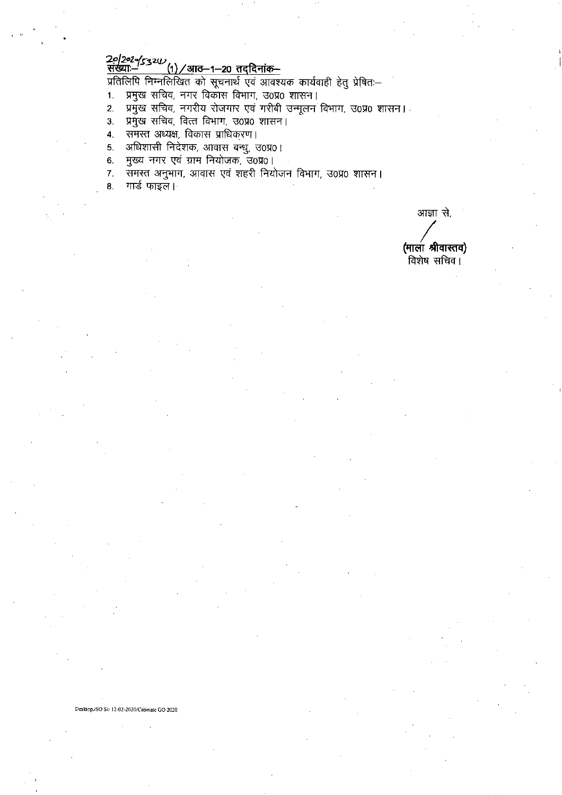# 20/2020/5324/<br>संख्याः– (1)/आठ–1–20 तद्दिनांक–

प्रतिलिपि निम्नलिखित को सूचनार्थ एवं आवश्यक कार्यवाही हेतु प्रेषितः–

- प्रमुख सचिव, नगर विकास विभाग, उ०प्र० शासन।  $1.$
- प्रमुख सचिव, नगरीय रोजगार एवं गरीबी उन्मूलन विभाग, उ0प्र0 शासन।<br>प्रमुख सचिव, वित्त विभाग, उ0प्र0 शासन।  $2.$
- $3<sub>1</sub>$
- समस्त अध्यक्ष, विकास प्राधिकरण।  $\overline{4}$ .
- अधिशासी निदेशक, आवास बन्धु, उ०प्र०। 5.
- 6. मुख्य नगर एवं ग्राम नियोजक, उ0प्र0।
- 7. समस्त अनुभाग, आवास एवं शहरी नियोजन विभाग, उ0प्र0 शासन।
- गार्ड फाइल। 8.

आज्ञा से, (माला श्रीवास्तव) ्<br>विशेष सचिव |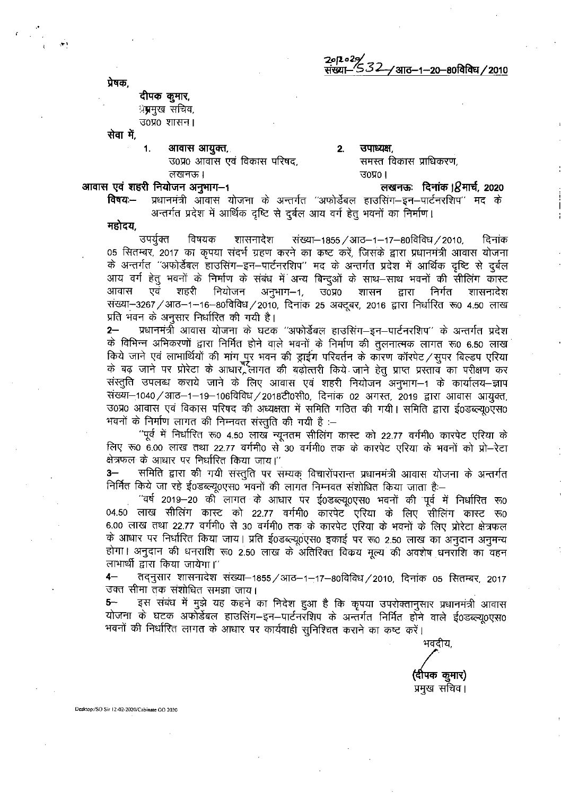2012*029/*<br>संख्या– *S.32--/* आठ–1–20–80विविध / 2010

प्रेषक.

# दीपक कुमार, ्रे**म्र**मुख सचिव, उ०प्र० शासन ।

सेवा में,

आवास आयुक्त, 1.

उ0प्र0 आवास एवं विकास परिषद. लखनऊ।

### $2.$ उपाध्यक्ष. समस्त विकास प्राधिकरण,  $30\,001$

## आवास एवं शहरी नियोजन अनुभाग-1

लखनऊः दिनांक । $8$ मार्च, 2020

विषयः— प्रधानमंत्री आवास योजना के अन्तर्गत "अफोर्डेबल हाउसिंग-इन-पार्टनरशिप" मद के अन्तर्गत प्रदेश में आर्थिक दृष्टि से दुर्बल आय वर्ग हेतू भवनों का निर्माण।

महोदय.

उपयुक्त विषयक शासनादेश संख्या–1855 / आठ–1–17–80विविध / 2010, दिनांक 05 सितम्बर, 2017 का कृपया संदर्भ ग्रहण करने का कष्ट करें, जिसके द्वारा प्रधानमंत्री आवास योजना के अन्तर्गत ''अफोर्डेबल हाउसिंग–इन–पार्टनरशिप'' मद के अन्तर्गत प्रदेश में आर्थिक दृष्टि से दुर्बल आय वर्ग हेतु भवनों के निर्माण के संबंध में अन्य बिन्दुओं के साथ—साथ भवनों की सीलिंग कास्ट आवास शहरी नियोजन अनुभाग–1, उ०प्र० शासन एवं द्वारा निर्गत शासनादेश संख्या-3267 / आठ-1-16-80विविध / 2010, दिनांक 25 अक्टूबर, 2016 द्वारा निर्धारित रू0 4.50 लाख प्रति भवन के अनुसार निर्धारित की गयी है।

 $2-$ प्रधानमंत्री आवास योजना के घटक ''अफोर्डेबल हाउसिंग—इन—पार्टनरशिप'' के अन्तर्गत प्रदेश के विभिन्न अभिकरणों द्वारा निर्मित होने वाले भवनों के निर्माण की तुलनात्मक लागत रू0 6.50 लाख किये जाने एवं लाभार्थियों की मांग पुर भवन की ड्राईंग परिवर्तन के कारण कॉरपेट / सुपर बिल्डप एरिया के बढ़ जाने पर प्रोरेटा के आधार लागत की बढ़ोत्तरी किये जाने हेतु प्राप्त प्रस्ताव का परीक्षण कर संस्तुति उपलब्ध कराये जाने के लिए आवास एवं शहरी नियोजन अनुभाग-1 के कार्यालय-ज्ञाप संख्या-1040 / आठ-1-19-106विविध / 2018टी0सी0, दिनांक 02 अगस्त, 2019 द्वारा आवास आयुक्त, उ0प्र0 आवास एवं विकास परिषद की अध्यक्षता में समिति गठित की गयी। समिति द्वारा ई0डब्ल्यू0एस0 भवनों के निर्माण लागत की निम्नवत संस्तुति की गयी है :–

''पूर्व में निर्धारित रू0 4.50 लाख न्यूनतम सीलिंग कास्ट को 22.77 वर्गमी0 कारपेट एरिया के लिए रू0 6.00 लाख तथा 22.77 वर्गमी0 से 30 वर्गमी0 तक के कारपेट एरिया के भवनों को प्रो-रेटा क्षेत्रफल के आधार पर निर्धारित किया जाय।"

समिति द्वारा की गयी संस्तुति पर सम्यक विचारोंपरान्त प्रधानमंत्री आवास योजना के अन्तर्गत  $3-$ निर्मित किये जा रहे ई0डब्ल्यू0एस0 भवनों की लागत निम्नवत संशोधित किया जाता है:-

''वर्ष 2019–20 की लागत के आधार पर ई0डब्ल्यू0एस0 भवनों की पूर्व में निर्धारित रू0 04.50 लाख सीलिंग कास्ट को 22.77 वर्गमी0 कारपेट एरिया के लिए सीलिंग कास्ट रू0 6.00 लाख तथा 22.77 वर्गमी0 से 30 वर्गमी0 तक के कारपेट एरिया के भवनों के लिए प्रोरेटा क्षेत्रफल के आधार पर निर्धारित किया जाय। प्रति ई0डब्ल्यू0एस0 इकाई पर रू0 2.50 लाख का अनुदान अनुमन्य होगा। अनुदान की धनराशि रू0 2.50 लाख के अतिरिक्त विकय मूल्य की अवशेष धनराशि का वहन लाभार्थी द्वारा किया जायेगा।''

तद्नुसार शासनादेश संख्या-1855 / आठ-1-17-80विविध / 2010, दिनांक 05 सितम्बर, 2017  $4-$ उक्त सीमा तक संशोधित समझा जाय।

इस संबंध में मुझे यह कहने का निदेश हुआ है कि कृपया उपरोक्तानुसार प्रधानमंत्री आवास योजना के घटक अफोर्डेबल हाउसिंग–इन–पार्टनरशिप के अन्तर्गत निर्मित होने वाले ई0डब्ल्यू0एस0 भवनों की निर्धारित लागत के आधार पर कार्यवाही सुनिश्चित कराने का कष्ट करें।

भवदीय. (दीपक कुमार) प्रमुख सचिव।